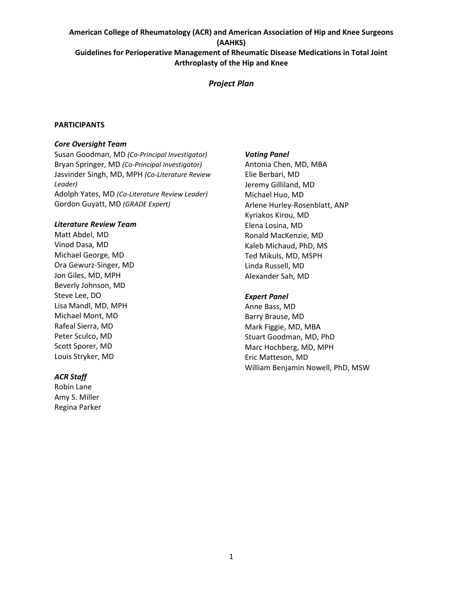#### *Project Plan*

#### **PARTICIPANTS**

#### *Core Oversight Team*

Susan Goodman, MD *(Co‐Principal Investigator)* Bryan Springer, MD *(Co‐Principal Investigator)* Jasvinder Singh, MD, MPH *(Co‐Literature Review Leader)* Adolph Yates, MD *(Co‐Literature Review Leader)* Gordon Guyatt, MD *(GRADE Expert)*

#### *Literature Review Team*

Matt Abdel, MD Vinod Dasa, MD Michael George, MD Ora Gewurz‐Singer, MD Jon Giles, MD, MPH Beverly Johnson, MD Steve Lee, DO Lisa Mandl, MD, MPH Michael Mont, MD Rafeal Sierra, MD Peter Sculco, MD Scott Sporer, MD Louis Stryker, MD

#### *ACR Staff*

Robin Lane Amy S. Miller Regina Parker

#### *Voting Panel*

Antonia Chen, MD, MBA Elie Berbari, MD Jeremy Gilliland, MD Michael Huo, MD Arlene Hurley‐Rosenblatt, ANP Kyriakos Kirou, MD Elena Losina, MD Ronald MacKenzie, MD Kaleb Michaud, PhD, MS Ted Mikuls, MD, MSPH Linda Russell, MD Alexander Sah, MD

#### *Expert Panel*

Anne Bass, MD Barry Brause, MD Mark Figgie, MD, MBA Stuart Goodman, MD, PhD Marc Hochberg, MD, MPH Eric Matteson, MD William Benjamin Nowell, PhD, MSW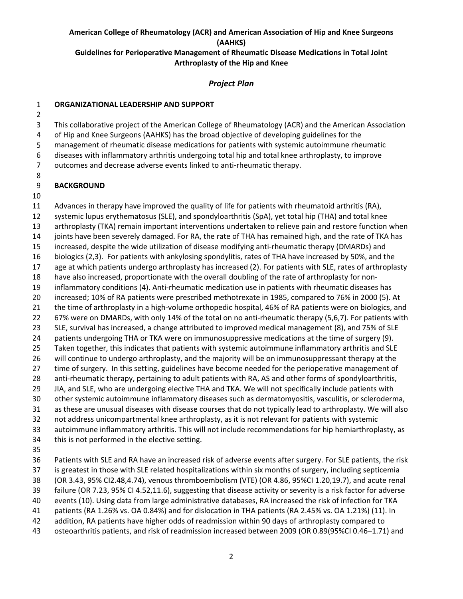### *Project Plan*

#### **ORGANIZATIONAL LEADERSHIP AND SUPPORT**

This collaborative project of the American College of Rheumatology (ACR) and the American Association

of Hip and Knee Surgeons (AAHKS) has the broad objective of developing guidelines for the

management of rheumatic disease medications for patients with systemic autoimmune rheumatic

diseases with inflammatory arthritis undergoing total hip and total knee arthroplasty, to improve

7 outcomes and decrease adverse events linked to anti-rheumatic therapy.

# **BACKGROUND**

 Advances in therapy have improved the quality of life for patients with rheumatoid arthritis (RA), systemic lupus erythematosus (SLE), and spondyloarthritis (SpA), yet total hip (THA) and total knee arthroplasty (TKA) remain important interventions undertaken to relieve pain and restore function when joints have been severely damaged. For RA, the rate of THA has remained high, and the rate of TKA has increased, despite the wide utilization of disease modifying anti‐rheumatic therapy (DMARDs) and biologics (2,3). For patients with ankylosing spondylitis, rates of THA have increased by 50%, and the age at which patients undergo arthroplasty has increased (2). For patients with SLE, rates of arthroplasty have also increased, proportionate with the overall doubling of the rate of arthroplasty for non‐ 19 inflammatory conditions (4). Anti-rheumatic medication use in patients with rheumatic diseases has increased; 10% of RA patients were prescribed methotrexate in 1985, compared to 76% in 2000 (5). At 21 the time of arthroplasty in a high-volume orthopedic hospital, 46% of RA patients were on biologics, and 22 67% were on DMARDs, with only 14% of the total on no anti-rheumatic therapy (5,6,7). For patients with SLE, survival has increased, a change attributed to improved medical management (8), and 75% of SLE patients undergoing THA or TKA were on immunosuppressive medications at the time of surgery (9). Taken together, this indicates that patients with systemic autoimmune inflammatory arthritis and SLE will continue to undergo arthroplasty, and the majority will be on immunosuppressant therapy at the time of surgery. In this setting, guidelines have become needed for the perioperative management of 28 anti-rheumatic therapy, pertaining to adult patients with RA, AS and other forms of spondyloarthritis, JIA, and SLE, who are undergoing elective THA and TKA. We will not specifically include patients with other systemic autoimmune inflammatory diseases such as dermatomyositis, vasculitis, or scleroderma, as these are unusual diseases with disease courses that do not typically lead to arthroplasty. We will also not address unicompartmental knee arthroplasty, as it is not relevant for patients with systemic autoimmune inflammatory arthritis. This will not include recommendations for hip hemiarthroplasty, as this is not performed in the elective setting. Patients with SLE and RA have an increased risk of adverse events after surgery. For SLE patients, the risk is greatest in those with SLE related hospitalizations within six months of surgery, including septicemia

(OR 3.43, 95% CI2.48,4.74), venous thromboembolism (VTE) (OR 4.86, 95%CI 1.20,19.7), and acute renal

failure (OR 7.23, 95% CI 4.52,11.6), suggesting that disease activity or severity is a risk factor for adverse

events (10). Using data from large administrative databases, RA increased the risk of infection for TKA

patients (RA 1.26% vs. OA 0.84%) and for dislocation in THA patients (RA 2.45% vs. OA 1.21%) (11). In

addition, RA patients have higher odds of readmission within 90 days of arthroplasty compared to

osteoarthritis patients, and risk of readmission increased between 2009 (OR 0.89(95%CI 0.46–1.71) and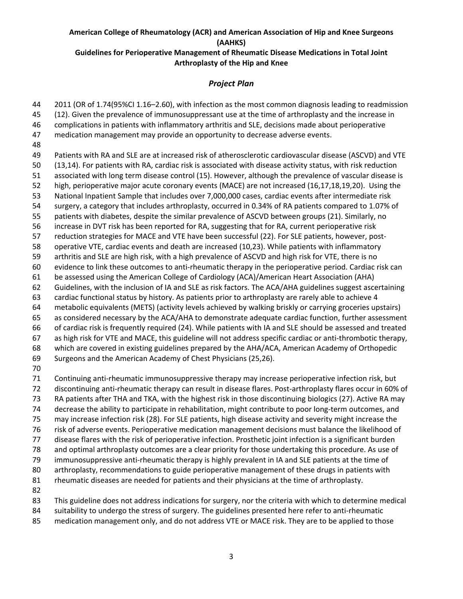### *Project Plan*

 2011 (OR of 1.74(95%CI 1.16–2.60), with infection as the most common diagnosis leading to readmission (12). Given the prevalence of immunosuppressant use at the time of arthroplasty and the increase in complications in patients with inflammatory arthritis and SLE, decisions made about perioperative medication management may provide an opportunity to decrease adverse events. Patients with RA and SLE are at increased risk of atherosclerotic cardiovascular disease (ASCVD) and VTE (13,14). For patients with RA, cardiac risk is associated with disease activity status, with risk reduction associated with long term disease control (15). However, although the prevalence of vascular disease is high, perioperative major acute coronary events (MACE) are not increased (16,17,18,19,20). Using the National Inpatient Sample that includes over 7,000,000 cases, cardiac events after intermediate risk surgery, a category that includes arthroplasty, occurred in 0.34% of RA patients compared to 1.07% of patients with diabetes, despite the similar prevalence of ASCVD between groups (21). Similarly, no increase in DVT risk has been reported for RA, suggesting that for RA, current perioperative risk 57 reduction strategies for MACE and VTE have been successful (22). For SLE patients, however, post- operative VTE, cardiac events and death are increased (10,23). While patients with inflammatory arthritis and SLE are high risk, with a high prevalence of ASCVD and high risk for VTE, there is no evidence to link these outcomes to anti‐rheumatic therapy in the perioperative period. Cardiac risk can be assessed using the American College of Cardiology (ACA)/American Heart Association (AHA) Guidelines, with the inclusion of IA and SLE as risk factors. The ACA/AHA guidelines suggest ascertaining cardiac functional status by history. As patients prior to arthroplasty are rarely able to achieve 4 metabolic equivalents (METS) (activity levels achieved by walking briskly or carrying groceries upstairs) as considered necessary by the ACA/AHA to demonstrate adequate cardiac function, further assessment of cardiac risk is frequently required (24). While patients with IA and SLE should be assessed and treated as high risk for VTE and MACE, this guideline will not address specific cardiac or anti‐thrombotic therapy, which are covered in existing guidelines prepared by the AHA/ACA, American Academy of Orthopedic Surgeons and the American Academy of Chest Physicians (25,26). 71 Continuing anti-rheumatic immunosuppressive therapy may increase perioperative infection risk, but discontinuing anti‐rheumatic therapy can result in disease flares. Post‐arthroplasty flares occur in 60% of RA patients after THA and TKA, with the highest risk in those discontinuing biologics (27). Active RA may decrease the ability to participate in rehabilitation, might contribute to poor long‐term outcomes, and

- may increase infection risk (28). For SLE patients, high disease activity and severity might increase the
- risk of adverse events. Perioperative medication management decisions must balance the likelihood of
- disease flares with the risk of perioperative infection. Prosthetic joint infection is a significant burden
- and optimal arthroplasty outcomes are a clear priority for those undertaking this procedure. As use of
- 79 immunosuppressive anti-rheumatic therapy is highly prevalent in IA and SLE patients at the time of 80 arthroplasty, recommendations to guide perioperative management of these drugs in patients with
- rheumatic diseases are needed for patients and their physicians at the time of arthroplasty.
- 
- This guideline does not address indications for surgery, nor the criteria with which to determine medical
- 84 suitability to undergo the stress of surgery. The guidelines presented here refer to anti-rheumatic
- medication management only, and do not address VTE or MACE risk. They are to be applied to those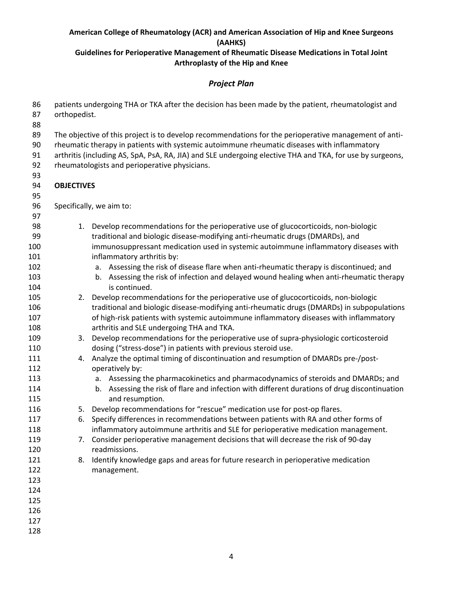### *Project Plan*

 patients undergoing THA or TKA after the decision has been made by the patient, rheumatologist and orthopedist. 89 The objective of this project is to develop recommendations for the perioperative management of anti- rheumatic therapy in patients with systemic autoimmune rheumatic diseases with inflammatory arthritis (including AS, SpA, PsA, RA, JIA) and SLE undergoing elective THA and TKA, for use by surgeons, rheumatologists and perioperative physicians. **OBJECTIVES**  Specifically, we aim to: 98 1. Develop recommendations for the perioperative use of glucocorticoids, non-biologic **traditional and biologic disease**-modifying anti-rheumatic drugs (DMARDs), and immunosuppressant medication used in systemic autoimmune inflammatory diseases with **inflammatory arthritis by: a.** Assessing the risk of disease flare when anti-rheumatic therapy is discontinued; and 103 b. Assessing the risk of infection and delayed wound healing when anti-rheumatic therapy is continued. 105 2. Develop recommendations for the perioperative use of glucocorticoids, non-biologic 106 traditional and biologic disease-modifying anti-rheumatic drugs (DMARDs) in subpopulations 107 of high-risk patients with systemic autoimmune inflammatory diseases with inflammatory arthritis and SLE undergoing THA and TKA. 109 3. Develop recommendations for the perioperative use of supra-physiologic corticosteroid dosing ("stress‐dose") in patients with previous steroid use. 111 4. Analyze the optimal timing of discontinuation and resumption of DMARDs pre-/post- operatively by: a. Assessing the pharmacokinetics and pharmacodynamics of steroids and DMARDs; and b. Assessing the risk of flare and infection with different durations of drug discontinuation 115 and resumption. 116 5. Develop recommendations for "rescue" medication use for post-op flares. 6. Specify differences in recommendations between patients with RA and other forms of inflammatory autoimmune arthritis and SLE for perioperative medication management. 119 7. Consider perioperative management decisions that will decrease the risk of 90-day readmissions. 8. Identify knowledge gaps and areas for future research in perioperative medication management.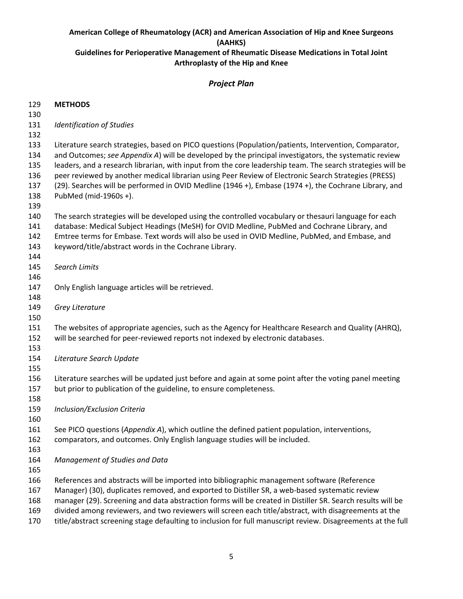| 129<br>130 | <b>METHODS</b>                                                                                               |
|------------|--------------------------------------------------------------------------------------------------------------|
| 131        | <b>Identification of Studies</b>                                                                             |
| 132        |                                                                                                              |
| 133        | Literature search strategies, based on PICO questions (Population/patients, Intervention, Comparator,        |
| 134        | and Outcomes; see Appendix A) will be developed by the principal investigators, the systematic review        |
| 135        | leaders, and a research librarian, with input from the core leadership team. The search strategies will be   |
| 136        | peer reviewed by another medical librarian using Peer Review of Electronic Search Strategies (PRESS)         |
| 137        | (29). Searches will be performed in OVID Medline (1946 +), Embase (1974 +), the Cochrane Library, and        |
| 138        | PubMed (mid-1960s +).                                                                                        |
| 139        |                                                                                                              |
| 140        | The search strategies will be developed using the controlled vocabulary or thesauri language for each        |
| 141        | database: Medical Subject Headings (MeSH) for OVID Medline, PubMed and Cochrane Library, and                 |
| 142        | Emtree terms for Embase. Text words will also be used in OVID Medline, PubMed, and Embase, and               |
| 143        | keyword/title/abstract words in the Cochrane Library.                                                        |
| 144        |                                                                                                              |
| 145        | Search Limits                                                                                                |
| 146<br>147 | Only English language articles will be retrieved.                                                            |
| 148        |                                                                                                              |
| 149        | Grey Literature                                                                                              |
| 150        |                                                                                                              |
| 151        | The websites of appropriate agencies, such as the Agency for Healthcare Research and Quality (AHRQ),         |
| 152        | will be searched for peer-reviewed reports not indexed by electronic databases.                              |
| 153        |                                                                                                              |
| 154        | Literature Search Update                                                                                     |
| 155        |                                                                                                              |
| 156        | Literature searches will be updated just before and again at some point after the voting panel meeting       |
| 157        | but prior to publication of the guideline, to ensure completeness.                                           |
| 158        |                                                                                                              |
| 159        | Inclusion/Exclusion Criteria                                                                                 |
| 160        |                                                                                                              |
| 161        | See PICO questions (Appendix A), which outline the defined patient population, interventions,                |
| 162        | comparators, and outcomes. Only English language studies will be included.                                   |
| 163        |                                                                                                              |
| 164<br>165 | Management of Studies and Data                                                                               |
| 166        | References and abstracts will be imported into bibliographic management software (Reference                  |
| 167        | Manager) (30), duplicates removed, and exported to Distiller SR, a web-based systematic review               |
| 168        | manager (29). Screening and data abstraction forms will be created in Distiller SR. Search results will be   |
| 169        | divided among reviewers, and two reviewers will screen each title/abstract, with disagreements at the        |
| 170        | title/abstract screening stage defaulting to inclusion for full manuscript review. Disagreements at the full |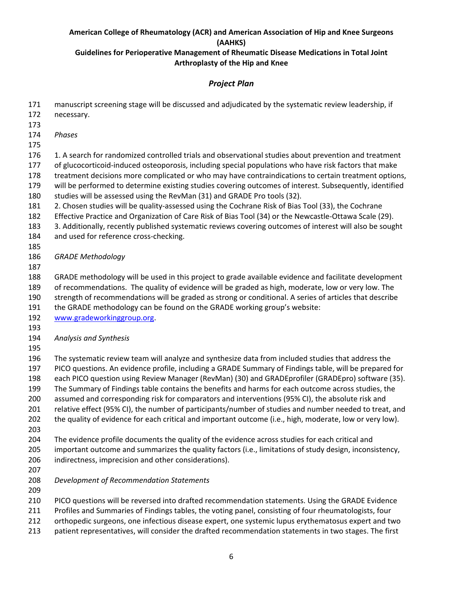### *Project Plan*

- manuscript screening stage will be discussed and adjudicated by the systematic review leadership, if
- necessary.
- 
- *Phases*
- 
- 1. A search for randomized controlled trials and observational studies about prevention and treatment
- 177 of glucocorticoid-induced osteoporosis, including special populations who have risk factors that make
- treatment decisions more complicated or who may have contraindications to certain treatment options,
- will be performed to determine existing studies covering outcomes of interest. Subsequently, identified
- studies will be assessed using the RevMan (31) and GRADE Pro tools (32).
- 181 2. Chosen studies will be quality-assessed using the Cochrane Risk of Bias Tool (33), the Cochrane
- Effective Practice and Organization of Care Risk of Bias Tool (34) or the Newcastle‐Ottawa Scale (29).
- 3. Additionally, recently published systematic reviews covering outcomes of interest will also be sought
- 184 and used for reference cross-checking.
- 
- *GRADE Methodology*
- 

 GRADE methodology will be used in this project to grade available evidence and facilitate development of recommendations. The quality of evidence will be graded as high, moderate, low or very low. The

- strength of recommendations will be graded as strong or conditional. A series of articles that describe
- the GRADE methodology can be found on the GRADE working group's website:
- www.gradeworkinggroup.org.
- 
- *Analysis and Synthesis*
- 

 The systematic review team will analyze and synthesize data from included studies that address the PICO questions. An evidence profile, including a GRADE Summary of Findings table, will be prepared for

- each PICO question using Review Manager (RevMan) (30) and GRADEprofiler (GRADEpro) software (35).
- The Summary of Findings table contains the benefits and harms for each outcome across studies, the
- assumed and corresponding risk for comparators and interventions (95% CI), the absolute risk and
- relative effect (95% CI), the number of participants/number of studies and number needed to treat, and
- the quality of evidence for each critical and important outcome (i.e., high, moderate, low or very low).
- 

The evidence profile documents the quality of the evidence across studies for each critical and

 important outcome and summarizes the quality factors (i.e., limitations of study design, inconsistency, indirectness, imprecision and other considerations).

- 
- *Development of Recommendation Statements*
- 
- PICO questions will be reversed into drafted recommendation statements. Using the GRADE Evidence
- Profiles and Summaries of Findings tables, the voting panel, consisting of four rheumatologists, four
- orthopedic surgeons, one infectious disease expert, one systemic lupus erythematosus expert and two
- patient representatives, will consider the drafted recommendation statements in two stages. The first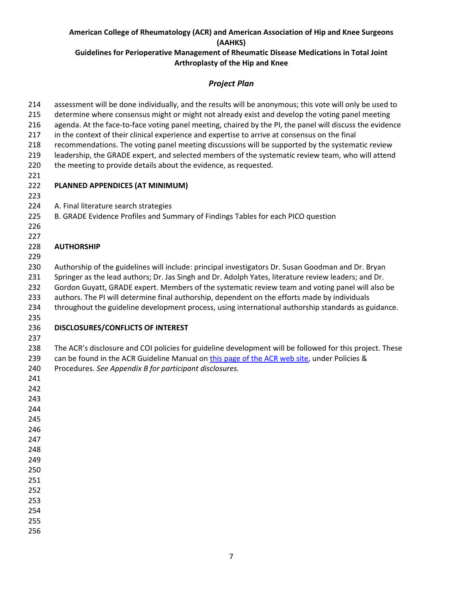| 214<br>215<br>216<br>217<br>218<br>219<br>220<br>221 | assessment will be done individually, and the results will be anonymous; this vote will only be used to<br>determine where consensus might or might not already exist and develop the voting panel meeting<br>agenda. At the face-to-face voting panel meeting, chaired by the PI, the panel will discuss the evidence<br>in the context of their clinical experience and expertise to arrive at consensus on the final<br>recommendations. The voting panel meeting discussions will be supported by the systematic review<br>leadership, the GRADE expert, and selected members of the systematic review team, who will attend<br>the meeting to provide details about the evidence, as requested. |
|------------------------------------------------------|------------------------------------------------------------------------------------------------------------------------------------------------------------------------------------------------------------------------------------------------------------------------------------------------------------------------------------------------------------------------------------------------------------------------------------------------------------------------------------------------------------------------------------------------------------------------------------------------------------------------------------------------------------------------------------------------------|
| 222<br>223                                           | PLANNED APPENDICES (AT MINIMUM)                                                                                                                                                                                                                                                                                                                                                                                                                                                                                                                                                                                                                                                                      |
| 224<br>225<br>226<br>227                             | A. Final literature search strategies<br>B. GRADE Evidence Profiles and Summary of Findings Tables for each PICO question                                                                                                                                                                                                                                                                                                                                                                                                                                                                                                                                                                            |
| 228<br>229                                           | <b>AUTHORSHIP</b>                                                                                                                                                                                                                                                                                                                                                                                                                                                                                                                                                                                                                                                                                    |
| 230<br>231<br>232<br>233<br>234<br>235               | Authorship of the guidelines will include: principal investigators Dr. Susan Goodman and Dr. Bryan<br>Springer as the lead authors; Dr. Jas Singh and Dr. Adolph Yates, literature review leaders; and Dr.<br>Gordon Guyatt, GRADE expert. Members of the systematic review team and voting panel will also be<br>authors. The PI will determine final authorship, dependent on the efforts made by individuals<br>throughout the guideline development process, using international authorship standards as guidance.                                                                                                                                                                               |
| 236<br>237                                           | DISCLOSURES/CONFLICTS OF INTEREST                                                                                                                                                                                                                                                                                                                                                                                                                                                                                                                                                                                                                                                                    |
| 238<br>239<br>240<br>241                             | The ACR's disclosure and COI policies for guideline development will be followed for this project. These<br>can be found in the ACR Guideline Manual on this page of the ACR web site, under Policies &<br>Procedures. See Appendix B for participant disclosures.                                                                                                                                                                                                                                                                                                                                                                                                                                   |
| 242<br>243                                           |                                                                                                                                                                                                                                                                                                                                                                                                                                                                                                                                                                                                                                                                                                      |
| 244<br>245                                           |                                                                                                                                                                                                                                                                                                                                                                                                                                                                                                                                                                                                                                                                                                      |
| 246<br>247                                           |                                                                                                                                                                                                                                                                                                                                                                                                                                                                                                                                                                                                                                                                                                      |
| 248                                                  |                                                                                                                                                                                                                                                                                                                                                                                                                                                                                                                                                                                                                                                                                                      |
| 249<br>250                                           |                                                                                                                                                                                                                                                                                                                                                                                                                                                                                                                                                                                                                                                                                                      |
| 251<br>252                                           |                                                                                                                                                                                                                                                                                                                                                                                                                                                                                                                                                                                                                                                                                                      |
| 253                                                  |                                                                                                                                                                                                                                                                                                                                                                                                                                                                                                                                                                                                                                                                                                      |
| 254<br>255                                           |                                                                                                                                                                                                                                                                                                                                                                                                                                                                                                                                                                                                                                                                                                      |
| 256                                                  |                                                                                                                                                                                                                                                                                                                                                                                                                                                                                                                                                                                                                                                                                                      |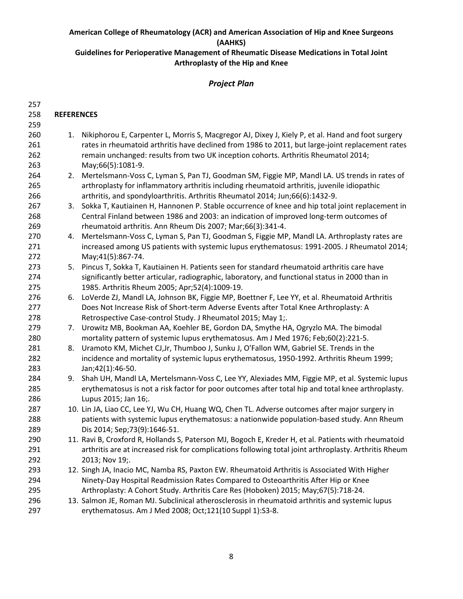# **American College of Rheumatology (ACR) and American Association of Hip and Knee Surgeons (AAHKS)**

### **Guidelines for Perioperative Management of Rheumatic Disease Medications in Total Joint Arthroplasty of the Hip and Knee**

| 257 |                   |                                                                                                       |
|-----|-------------------|-------------------------------------------------------------------------------------------------------|
| 258 | <b>REFERENCES</b> |                                                                                                       |
| 259 |                   |                                                                                                       |
| 260 | 1.                | Nikiphorou E, Carpenter L, Morris S, Macgregor AJ, Dixey J, Kiely P, et al. Hand and foot surgery     |
| 261 |                   | rates in rheumatoid arthritis have declined from 1986 to 2011, but large-joint replacement rates      |
| 262 |                   | remain unchanged: results from two UK inception cohorts. Arthritis Rheumatol 2014;                    |
| 263 |                   | May;66(5):1081-9.                                                                                     |
| 264 |                   | 2. Mertelsmann-Voss C, Lyman S, Pan TJ, Goodman SM, Figgie MP, Mandl LA. US trends in rates of        |
| 265 |                   | arthroplasty for inflammatory arthritis including rheumatoid arthritis, juvenile idiopathic           |
| 266 |                   | arthritis, and spondyloarthritis. Arthritis Rheumatol 2014; Jun;66(6):1432-9.                         |
| 267 | 3.                | Sokka T, Kautiainen H, Hannonen P. Stable occurrence of knee and hip total joint replacement in       |
| 268 |                   | Central Finland between 1986 and 2003: an indication of improved long-term outcomes of                |
| 269 |                   | rheumatoid arthritis. Ann Rheum Dis 2007; Mar;66(3):341-4.                                            |
| 270 | 4.                | Mertelsmann-Voss C, Lyman S, Pan TJ, Goodman S, Figgie MP, Mandl LA. Arthroplasty rates are           |
| 271 |                   | increased among US patients with systemic lupus erythematosus: 1991-2005. J Rheumatol 2014;           |
| 272 |                   | May;41(5):867-74.                                                                                     |
| 273 |                   | 5. Pincus T, Sokka T, Kautiainen H. Patients seen for standard rheumatoid arthritis care have         |
| 274 |                   | significantly better articular, radiographic, laboratory, and functional status in 2000 than in       |
| 275 |                   | 1985. Arthritis Rheum 2005; Apr;52(4):1009-19.                                                        |
| 276 |                   | 6. LoVerde ZJ, Mandl LA, Johnson BK, Figgie MP, Boettner F, Lee YY, et al. Rheumatoid Arthritis       |
| 277 |                   | Does Not Increase Risk of Short-term Adverse Events after Total Knee Arthroplasty: A                  |
| 278 |                   | Retrospective Case-control Study. J Rheumatol 2015; May 1;.                                           |
| 279 | 7.                | Urowitz MB, Bookman AA, Koehler BE, Gordon DA, Smythe HA, Ogryzlo MA. The bimodal                     |
| 280 |                   | mortality pattern of systemic lupus erythematosus. Am J Med 1976; Feb;60(2):221-5.                    |
| 281 | 8.                | Uramoto KM, Michet CJ, Jr, Thumboo J, Sunku J, O'Fallon WM, Gabriel SE. Trends in the                 |
| 282 |                   | incidence and mortality of systemic lupus erythematosus, 1950-1992. Arthritis Rheum 1999;             |
| 283 |                   | Jan;42(1):46-50.                                                                                      |
| 284 |                   | 9. Shah UH, Mandl LA, Mertelsmann-Voss C, Lee YY, Alexiades MM, Figgie MP, et al. Systemic lupus      |
| 285 |                   | erythematosus is not a risk factor for poor outcomes after total hip and total knee arthroplasty.     |
| 286 |                   | Lupus 2015; Jan 16;.                                                                                  |
| 287 |                   | 10. Lin JA, Liao CC, Lee YJ, Wu CH, Huang WQ, Chen TL. Adverse outcomes after major surgery in        |
| 288 |                   | patients with systemic lupus erythematosus: a nationwide population-based study. Ann Rheum            |
| 289 |                   | Dis 2014; Sep; 73(9): 1646-51.                                                                        |
| 290 |                   | 11. Ravi B, Croxford R, Hollands S, Paterson MJ, Bogoch E, Kreder H, et al. Patients with rheumatoid  |
| 291 |                   | arthritis are at increased risk for complications following total joint arthroplasty. Arthritis Rheum |
| 292 |                   | 2013; Nov 19;.                                                                                        |
| 293 |                   | 12. Singh JA, Inacio MC, Namba RS, Paxton EW. Rheumatoid Arthritis is Associated With Higher          |
| 294 |                   | Ninety-Day Hospital Readmission Rates Compared to Osteoarthritis After Hip or Knee                    |
| 295 |                   | Arthroplasty: A Cohort Study. Arthritis Care Res (Hoboken) 2015; May;67(5):718-24.                    |
| 296 |                   | 13. Salmon JE, Roman MJ. Subclinical atherosclerosis in rheumatoid arthritis and systemic lupus       |
| 297 |                   | erythematosus. Am J Med 2008; Oct;121(10 Suppl 1):S3-8.                                               |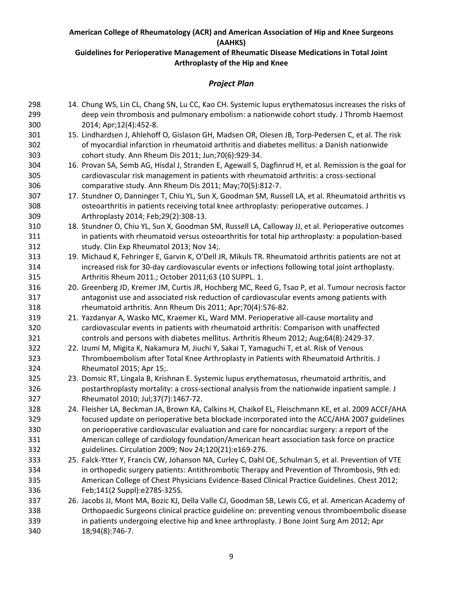# **American College of Rheumatology (ACR) and American Association of Hip and Knee Surgeons (AAHKS)**

#### **Guidelines for Perioperative Management of Rheumatic Disease Medications in Total Joint Arthroplasty of the Hip and Knee**

### *Project Plan*

 14. Chung WS, Lin CL, Chang SN, Lu CC, Kao CH. Systemic lupus erythematosus increases the risks of deep vein thrombosis and pulmonary embolism: a nationwide cohort study. J Thromb Haemost 2014; Apr;12(4):452‐8. 301 15. Lindhardsen J, Ahlehoff O, Gislason GH, Madsen OR, Olesen JB, Torp-Pedersen C, et al. The risk of myocardial infarction in rheumatoid arthritis and diabetes mellitus: a Danish nationwide cohort study. Ann Rheum Dis 2011; Jun;70(6):929‐34. 16. Provan SA, Semb AG, Hisdal J, Stranden E, Agewall S, Dagfinrud H, et al. Remission is the goal for cardiovascular risk management in patients with rheumatoid arthritis: a cross‐sectional comparative study. Ann Rheum Dis 2011; May;70(5):812‐7. 17. Stundner O, Danninger T, Chiu YL, Sun X, Goodman SM, Russell LA, et al. Rheumatoid arthritis vs osteoarthritis in patients receiving total knee arthroplasty: perioperative outcomes. J Arthroplasty 2014; Feb;29(2):308‐13. 18. Stundner O, Chiu YL, Sun X, Goodman SM, Russell LA, Calloway JJ, et al. Perioperative outcomes 311 in patients with rheumatoid versus osteoarthritis for total hip arthroplasty: a population‐based study. Clin Exp Rheumatol 2013; Nov 14;. 19. Michaud K, Fehringer E, Garvin K, O'Dell JR, Mikuls TR. Rheumatoid arthritis patients are not at increased risk for 30‐day cardiovascular events or infections following total joint arthoplasty. Arthritis Rheum 2011.; October 2011;63 (10 SUPPL. 1. 20. Greenberg JD, Kremer JM, Curtis JR, Hochberg MC, Reed G, Tsao P, et al. Tumour necrosis factor antagonist use and associated risk reduction of cardiovascular events among patients with rheumatoid arthritis. Ann Rheum Dis 2011; Apr;70(4):576‐82. 21. Yazdanyar A, Wasko MC, Kraemer KL, Ward MM. Perioperative all‐cause mortality and cardiovascular events in patients with rheumatoid arthritis: Comparison with unaffected controls and persons with diabetes mellitus. Arthritis Rheum 2012; Aug;64(8):2429‐37. 22. Izumi M, Migita K, Nakamura M, Jiuchi Y, Sakai T, Yamaguchi T, et al. Risk of Venous Thromboembolism after Total Knee Arthroplasty in Patients with Rheumatoid Arthritis. J Rheumatol 2015; Apr 15;. 23. Domsic RT, Lingala B, Krishnan E. Systemic lupus erythematosus, rheumatoid arthritis, and 326 postarthroplasty mortality: a cross-sectional analysis from the nationwide inpatient sample. J Rheumatol 2010; Jul;37(7):1467‐72. 24. Fleisher LA, Beckman JA, Brown KA, Calkins H, Chaikof EL, Fleischmann KE, et al. 2009 ACCF/AHA focused update on perioperative beta blockade incorporated into the ACC/AHA 2007 guidelines on perioperative cardiovascular evaluation and care for noncardiac surgery: a report of the American college of cardiology foundation/American heart association task force on practice guidelines. Circulation 2009; Nov 24;120(21):e169‐276. 25. Falck‐Ytter Y, Francis CW, Johanson NA, Curley C, Dahl OE, Schulman S, et al. Prevention of VTE in orthopedic surgery patients: Antithrombotic Therapy and Prevention of Thrombosis, 9th ed: American College of Chest Physicians Evidence‐Based Clinical Practice Guidelines. Chest 2012; Feb;141(2 Suppl):e278S‐325S. 26. Jacobs JJ, Mont MA, Bozic KJ, Della Valle CJ, Goodman SB, Lewis CG, et al. American Academy of Orthopaedic Surgeons clinical practice guideline on: preventing venous thromboembolic disease 339 in patients undergoing elective hip and knee arthroplasty. J Bone Joint Surg Am 2012; Apr 18;94(8):746‐7.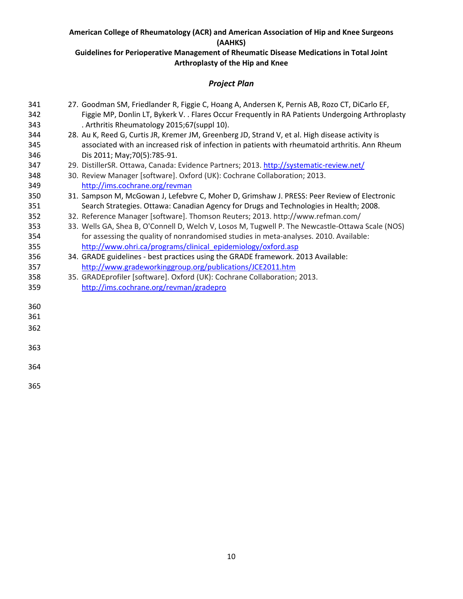# **American College of Rheumatology (ACR) and American Association of Hip and Knee Surgeons (AAHKS)**

# **Guidelines for Perioperative Management of Rheumatic Disease Medications in Total Joint Arthroplasty of the Hip and Knee**

| 341 | 27. Goodman SM, Friedlander R, Figgie C, Hoang A, Andersen K, Pernis AB, Rozo CT, DiCarlo EF,    |
|-----|--------------------------------------------------------------------------------------------------|
| 342 | Figgie MP, Donlin LT, Bykerk V. . Flares Occur Frequently in RA Patients Undergoing Arthroplasty |
| 343 | . Arthritis Rheumatology 2015;67(suppl 10).                                                      |
| 344 | 28. Au K, Reed G, Curtis JR, Kremer JM, Greenberg JD, Strand V, et al. High disease activity is  |
| 345 | associated with an increased risk of infection in patients with rheumatoid arthritis. Ann Rheum  |
| 346 | Dis 2011; May; 70(5): 785-91.                                                                    |
| 347 | 29. DistillerSR. Ottawa, Canada: Evidence Partners; 2013. http://systematic-review.net/          |
| 348 | 30. Review Manager [software]. Oxford (UK): Cochrane Collaboration; 2013.                        |
| 349 | http://ims.cochrane.org/revman                                                                   |
| 350 | 31. Sampson M, McGowan J, Lefebvre C, Moher D, Grimshaw J. PRESS: Peer Review of Electronic      |
| 351 | Search Strategies. Ottawa: Canadian Agency for Drugs and Technologies in Health; 2008.           |
| 352 | 32. Reference Manager [software]. Thomson Reuters; 2013. http://www.refman.com/                  |
| 353 | 33. Wells GA, Shea B, O'Connell D, Welch V, Losos M, Tugwell P. The Newcastle-Ottawa Scale (NOS) |
| 354 | for assessing the quality of nonrandomised studies in meta-analyses. 2010. Available:            |
| 355 | http://www.ohri.ca/programs/clinical epidemiology/oxford.asp                                     |
| 356 | 34. GRADE guidelines - best practices using the GRADE framework. 2013 Available:                 |
| 357 | http://www.gradeworkinggroup.org/publications/JCE2011.htm                                        |
| 358 | 35. GRADEprofiler [software]. Oxford (UK): Cochrane Collaboration; 2013.                         |
| 359 | http://ims.cochrane.org/revman/gradepro                                                          |
|     |                                                                                                  |
| 360 |                                                                                                  |
| 361 |                                                                                                  |
| 362 |                                                                                                  |
|     |                                                                                                  |
| 363 |                                                                                                  |
| 364 |                                                                                                  |
|     |                                                                                                  |
| 365 |                                                                                                  |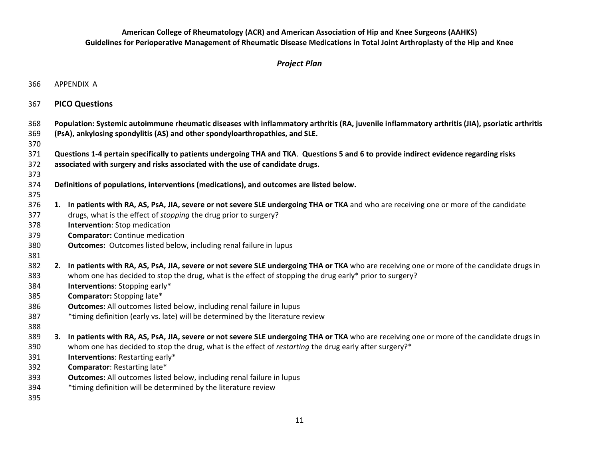#### *Project Plan*

- 366APPENDIX A
- 367**PICO Questions**
- 368Population: Systemic autoimmune rheumatic diseases with inflammatory arthritis (RA, juvenile inflammatory arthritis (JIA), psoriatic arthritis 369**(PsA), ankylosing spondylitis (AS) and other spondyloarthropathies, and SLE.**
- 370
- 371Questions 1-4 pertain specifically to patients undergoing THA and TKA. Questions 5 and 6 to provide indirect evidence regarding risks
- 372**associated with surgery and risks associated with the use of candidate drugs.**
- 373

375

- 374**Definitions of populations, interventions (medications), and outcomes are listed below.**
- 3766 1. In patients with RA, AS, PsA, JIA, severe or not severe SLE undergoing THA or TKA and who are receiving one or more of the candidate
- 377drugs, what is the effect of *stopping* the drug prior to surgery?
- 378**Intervention**: Stop medication
- 379**Comparator:** Continue medication
- 380**Outcomes:** Outcomes listed below, including renal failure in lupus
- 381
- 3822 2. In patients with RA, AS, PsA, JIA, severe or not severe SLE undergoing THA or TKA who are receiving one or more of the candidate drugs in 383whom one has decided to stop the drug, what is the effect of stopping the drug early\* prior to surgery?
- 384**Interventions**: Stopping early\*
- 385**Comparator:** Stopping late\*
- 386**Outcomes:** All outcomes listed below, including renal failure in lupus
- 387\*timing definition (early vs. late) will be determined by the literature review
- 388
- 3899 3. In patients with RA, AS, PsA, JIA, severe or not severe SLE undergoing THA or TKA who are receiving one or more of the candidate drugs in 390whom one has decided to stop the drug, what is the effect of *restarting* the drug early after surgery?\*
- 391**Interventions**: Restarting early\*
- 392**Comparator**: Restarting late\*
- 393**Outcomes:** All outcomes listed below, including renal failure in lupus
- 394\*timing definition will be determined by the literature review

395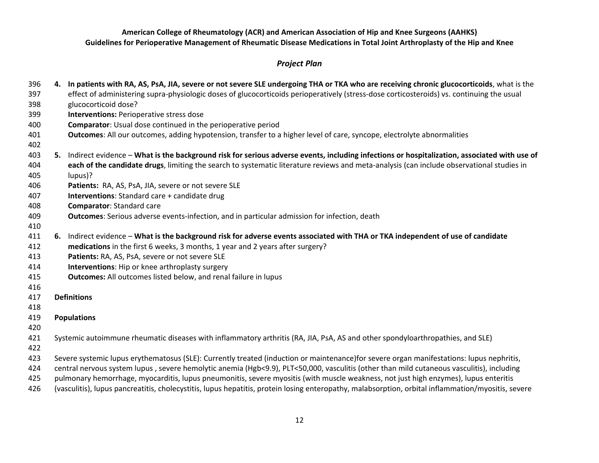| 396        |    | 4. In patients with RA, AS, PsA, JIA, severe or not severe SLE undergoing THA or TKA who are receiving chronic glucocorticoids, what is the          |
|------------|----|------------------------------------------------------------------------------------------------------------------------------------------------------|
| 397        |    | effect of administering supra-physiologic doses of glucocorticoids perioperatively (stress-dose corticosteroids) vs. continuing the usual            |
| 398        |    | glucocorticoid dose?                                                                                                                                 |
| 399        |    | <b>Interventions: Perioperative stress dose</b>                                                                                                      |
| 400        |    | <b>Comparator:</b> Usual dose continued in the perioperative period                                                                                  |
| 401        |    | <b>Outcomes:</b> All our outcomes, adding hypotension, transfer to a higher level of care, syncope, electrolyte abnormalities                        |
| 402        |    |                                                                                                                                                      |
| 403        |    | 5. Indirect evidence - What is the background risk for serious adverse events, including infections or hospitalization, associated with use of       |
| 404<br>405 |    | each of the candidate drugs, limiting the search to systematic literature reviews and meta-analysis (can include observational studies in<br>lupus)? |
| 406        |    | Patients: RA, AS, PsA, JIA, severe or not severe SLE                                                                                                 |
| 407        |    | Interventions: Standard care + candidate drug                                                                                                        |
| 408        |    | <b>Comparator: Standard care</b>                                                                                                                     |
| 409        |    | Outcomes: Serious adverse events-infection, and in particular admission for infection, death                                                         |
| 410        |    |                                                                                                                                                      |
| 411        | 6. | Indirect evidence – What is the background risk for adverse events associated with THA or TKA independent of use of candidate                        |
| 412        |    | medications in the first 6 weeks, 3 months, 1 year and 2 years after surgery?                                                                        |
| 413        |    | Patients: RA, AS, PsA, severe or not severe SLE                                                                                                      |
| 414        |    | Interventions: Hip or knee arthroplasty surgery                                                                                                      |
| 415        |    | <b>Outcomes:</b> All outcomes listed below, and renal failure in lupus                                                                               |
| 416        |    |                                                                                                                                                      |
| 417        |    | <b>Definitions</b>                                                                                                                                   |
| 418        |    |                                                                                                                                                      |
| 419        |    | <b>Populations</b>                                                                                                                                   |
| 420        |    |                                                                                                                                                      |
| 421        |    | Systemic autoimmune rheumatic diseases with inflammatory arthritis (RA, JIA, PsA, AS and other spondyloarthropathies, and SLE)                       |
| 422        |    |                                                                                                                                                      |
| 423        |    | Severe systemic lupus erythematosus (SLE): Currently treated (induction or maintenance) for severe organ manifestations: lupus nephritis,            |
| 424        |    | central nervous system lupus, severe hemolytic anemia (Hgb<9.9), PLT<50,000, vasculitis (other than mild cutaneous vasculitis), including            |
| 425        |    | pulmonary hemorrhage, myocarditis, lupus pneumonitis, severe myositis (with muscle weakness, not just high enzymes), lupus enteritis                 |
| 426        |    | (vasculitis), lupus pancreatitis, cholecystitis, lupus hepatitis, protein losing enteropathy, malabsorption, orbital inflammation/myositis, severe   |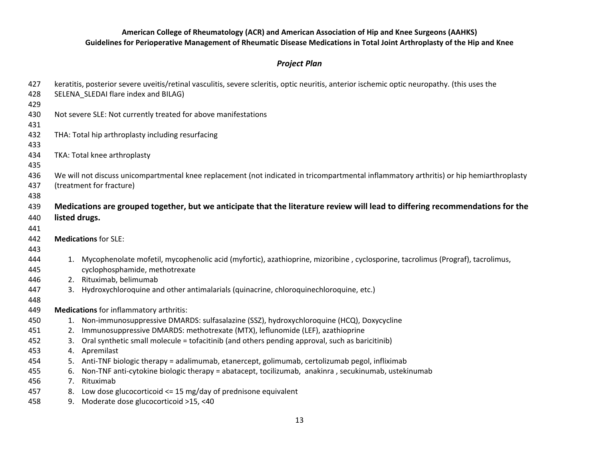| 427<br>428 | keratitis, posterior severe uveitis/retinal vasculitis, severe scleritis, optic neuritis, anterior ischemic optic neuropathy. (this uses the<br>SELENA_SLEDAI flare index and BILAG) |                                                                                                                                          |  |  |  |  |  |  |
|------------|--------------------------------------------------------------------------------------------------------------------------------------------------------------------------------------|------------------------------------------------------------------------------------------------------------------------------------------|--|--|--|--|--|--|
| 429        |                                                                                                                                                                                      |                                                                                                                                          |  |  |  |  |  |  |
| 430        |                                                                                                                                                                                      | Not severe SLE: Not currently treated for above manifestations                                                                           |  |  |  |  |  |  |
| 431        |                                                                                                                                                                                      |                                                                                                                                          |  |  |  |  |  |  |
| 432        |                                                                                                                                                                                      | THA: Total hip arthroplasty including resurfacing                                                                                        |  |  |  |  |  |  |
| 433        |                                                                                                                                                                                      |                                                                                                                                          |  |  |  |  |  |  |
| 434        | TKA: Total knee arthroplasty                                                                                                                                                         |                                                                                                                                          |  |  |  |  |  |  |
| 435        |                                                                                                                                                                                      |                                                                                                                                          |  |  |  |  |  |  |
| 436        |                                                                                                                                                                                      | We will not discuss unicompartmental knee replacement (not indicated in tricompartmental inflammatory arthritis) or hip hemiarthroplasty |  |  |  |  |  |  |
| 437        |                                                                                                                                                                                      | (treatment for fracture)                                                                                                                 |  |  |  |  |  |  |
| 438        |                                                                                                                                                                                      |                                                                                                                                          |  |  |  |  |  |  |
| 439        |                                                                                                                                                                                      | Medications are grouped together, but we anticipate that the literature review will lead to differing recommendations for the            |  |  |  |  |  |  |
| 440        | listed drugs.                                                                                                                                                                        |                                                                                                                                          |  |  |  |  |  |  |
| 441        |                                                                                                                                                                                      |                                                                                                                                          |  |  |  |  |  |  |
| 442        |                                                                                                                                                                                      | <b>Medications for SLE:</b>                                                                                                              |  |  |  |  |  |  |
| 443        |                                                                                                                                                                                      |                                                                                                                                          |  |  |  |  |  |  |
| 444        |                                                                                                                                                                                      | 1. Mycophenolate mofetil, mycophenolic acid (myfortic), azathioprine, mizoribine, cyclosporine, tacrolimus (Prograf), tacrolimus,        |  |  |  |  |  |  |
| 445        |                                                                                                                                                                                      | cyclophosphamide, methotrexate                                                                                                           |  |  |  |  |  |  |
| 446        |                                                                                                                                                                                      | 2. Rituximab, belimumab                                                                                                                  |  |  |  |  |  |  |
| 447        | 3.                                                                                                                                                                                   | Hydroxychloroquine and other antimalarials (quinacrine, chloroquinechloroquine, etc.)                                                    |  |  |  |  |  |  |
| 448        |                                                                                                                                                                                      |                                                                                                                                          |  |  |  |  |  |  |
| 449        |                                                                                                                                                                                      | <b>Medications</b> for inflammatory arthritis:                                                                                           |  |  |  |  |  |  |
| 450        |                                                                                                                                                                                      | 1. Non-immunosuppressive DMARDS: sulfasalazine (SSZ), hydroxychloroquine (HCQ), Doxycycline                                              |  |  |  |  |  |  |
| 451        | 2.                                                                                                                                                                                   | Immunosuppressive DMARDS: methotrexate (MTX), leflunomide (LEF), azathioprine                                                            |  |  |  |  |  |  |
| 452        | 3.                                                                                                                                                                                   | Oral synthetic small molecule = tofacitinib (and others pending approval, such as baricitinib)                                           |  |  |  |  |  |  |
| 453        | 4.                                                                                                                                                                                   | Apremilast                                                                                                                               |  |  |  |  |  |  |
| 454        | 5.                                                                                                                                                                                   | Anti-TNF biologic therapy = adalimumab, etanercept, golimumab, certolizumab pegol, infliximab                                            |  |  |  |  |  |  |
| 455        | 6.                                                                                                                                                                                   | Non-TNF anti-cytokine biologic therapy = abatacept, tocilizumab, anakinra, secukinumab, ustekinumab                                      |  |  |  |  |  |  |
| 456        | 7.                                                                                                                                                                                   | Rituximab                                                                                                                                |  |  |  |  |  |  |
| 457        | 8.                                                                                                                                                                                   | Low dose glucocorticoid $\leq$ 15 mg/day of prednisone equivalent                                                                        |  |  |  |  |  |  |
| 458        | 9.                                                                                                                                                                                   | Moderate dose glucocorticoid >15, <40                                                                                                    |  |  |  |  |  |  |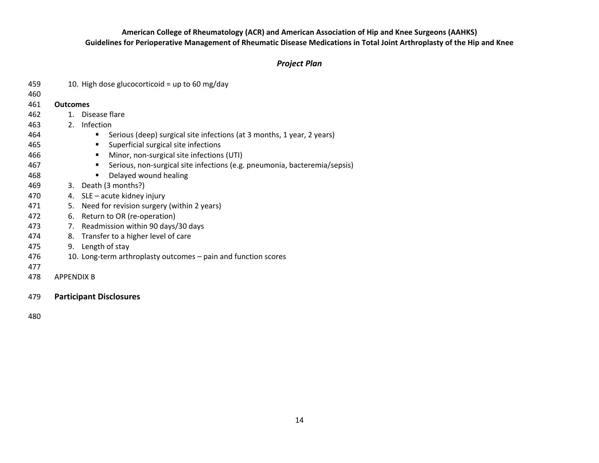### *Project Plan*

| 459 | 10. High dose glucocorticoid = up to 60 mg/day                                 |
|-----|--------------------------------------------------------------------------------|
| 460 |                                                                                |
| 461 | <b>Outcomes</b>                                                                |
| 462 | Disease flare<br>$1_{-}$                                                       |
| 463 | Infection<br>2.                                                                |
| 464 | Serious (deep) surgical site infections (at 3 months, 1 year, 2 years)         |
| 465 | Superficial surgical site infections<br>٠                                      |
| 466 | Minor, non-surgical site infections (UTI)<br>٠                                 |
| 467 | Serious, non-surgical site infections (e.g. pneumonia, bacteremia/sepsis)<br>٠ |
| 468 | Delayed wound healing                                                          |
| 469 | 3. Death (3 months?)                                                           |
| 470 | 4. SLE - acute kidney injury                                                   |
| 471 | Need for revision surgery (within 2 years)<br>5.                               |
| 472 | Return to OR (re-operation)<br>6.                                              |
| 473 | 7. Readmission within 90 days/30 days                                          |
| 474 | 8. Transfer to a higher level of care                                          |
| 475 | 9. Length of stay                                                              |
| 476 | 10. Long-term arthroplasty outcomes – pain and function scores                 |
| 477 |                                                                                |
| 478 | <b>APPENDIX B</b>                                                              |
| 479 | <b>Participant Disclosures</b>                                                 |

480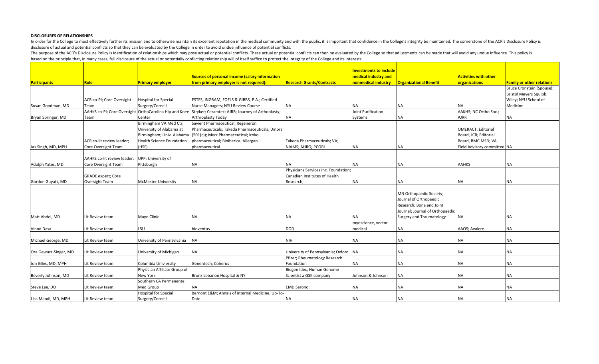#### **DISCLOSURES OF RELATIONSHIPS**

In order for the College to most effectively further its mission and to otherwise maintain its excellent reputation in the medical community and with the public, it is important that confidence in the College's integrity b disclosure of actual and potential conflicts so that they can be evaluated by the College in order to avoid undue influence of potential conflicts.

The purpose of the ACR's Disclosure Policy is identification of relationships which may pose actual or potential conflicts. These actual or potential conflicts can then be evaluated by the College so that adjustments can b based on the principle that, in many cases, full disclosure of the actual or potentially conflicting relationship will of itself suffice to protect the integrity of the College and its interests.

| <b>Participants</b>   | Role                        | <b>Primary employer</b>          | Sources of personal income (salary information<br>from primary employer is not required):               | <b>Research Grants/Contracts</b>      | <b>Investments to include</b><br>medical industry and | nonmedical industry   Organizational Benefit | <b>Activities with other</b><br>organizations | <b>Family or other relations</b> |
|-----------------------|-----------------------------|----------------------------------|---------------------------------------------------------------------------------------------------------|---------------------------------------|-------------------------------------------------------|----------------------------------------------|-----------------------------------------------|----------------------------------|
|                       |                             |                                  |                                                                                                         |                                       |                                                       |                                              |                                               | Bruce Cronstein (Spouse);        |
|                       |                             |                                  |                                                                                                         |                                       |                                                       |                                              |                                               | Bristol Meyers Squibb;           |
|                       | ACR co-PI; Core Oversight   | <b>Hospital for Special</b>      | ESTES, INGRAM, FOELS & GIBBS, P.A.; Certified                                                           |                                       |                                                       |                                              |                                               | Wiley; NYU School of             |
| Susan Goodman, MD     | Team                        | Surgery/Cornell                  | Nurse Managers; NYU Review Course                                                                       | <b>NA</b>                             | <b>NA</b>                                             | <b>NA</b>                                    | <b>NA</b>                                     | Medicine                         |
|                       |                             |                                  | AAHKS co-PI; Core Oversight OrthoCarolina Hip and Knee Stryker; Ceramtec; AJRR; Journey of Arthoplasty; |                                       | Joint Purification                                    |                                              | AAKHS; NC Ortho Soc.;                         |                                  |
| Bryan Springer, MD    | Team                        | Center                           | <b>Arthroplasty Today</b>                                                                               | <b>NA</b>                             | Systems                                               | <b>NA</b>                                    | <b>AJRR</b>                                   | ΝA                               |
|                       |                             | Birmingham VA Med Ctr;           | Savient Pharmaceutical; Regeneron                                                                       |                                       |                                                       |                                              |                                               |                                  |
|                       |                             | University of Alabama at         | Pharmaceuticals; Takeda Pharmaceuticals; Dinora                                                         |                                       |                                                       |                                              | OMERACT; Editorial                            |                                  |
|                       |                             | Birmingham; Univ. Alabama        | (501(c)); Merz Pharmaceutical; Iroko                                                                    |                                       |                                                       |                                              | Board, JCR; Editorial                         |                                  |
|                       | ACR co-lit review leader;   | <b>Health Science Foundation</b> | pharmaceutical; Bioiberica; Allergan                                                                    | Takeda Pharmaceuticals; VA;           |                                                       |                                              | Board, BMC MSD; VA                            |                                  |
| Jas Singh, MD, MPH    | Core Oversight Team         | (HSF)                            | pharmaceutical                                                                                          | NIAMS; AHRQ; PCORI                    | <b>NA</b>                                             | <b>NA</b>                                    | Field Advisory committee NA                   |                                  |
|                       |                             |                                  |                                                                                                         |                                       |                                                       |                                              |                                               |                                  |
|                       | AAHKS co-lit review leader; | UPP; University of               |                                                                                                         |                                       |                                                       |                                              |                                               |                                  |
| Adolph Yates, MD      | Core Oversight Team         | Pittsburgh                       | <b>NA</b>                                                                                               | NA                                    | <b>NA</b>                                             | <b>NA</b>                                    | <b>AAHKS</b>                                  | NA                               |
|                       |                             |                                  |                                                                                                         | Physicians Services Inc. Foundation   |                                                       |                                              |                                               |                                  |
|                       | <b>GRADE</b> expert; Core   |                                  |                                                                                                         | Canadian Institutes of Health         |                                                       |                                              |                                               |                                  |
| Gordon Guyatt, MD     | Oversight Team              | <b>McMaster University</b>       | <b>NA</b>                                                                                               | Research;                             | <b>NA</b>                                             | <b>NA</b>                                    | <b>NA</b>                                     | NA                               |
|                       |                             |                                  |                                                                                                         |                                       |                                                       |                                              |                                               |                                  |
|                       |                             |                                  |                                                                                                         |                                       |                                                       | MN Orthopaedic Society;                      |                                               |                                  |
|                       |                             |                                  |                                                                                                         |                                       |                                                       | Journal of Orthopaedic                       |                                               |                                  |
|                       |                             |                                  |                                                                                                         |                                       |                                                       | Research; Bone and Joint                     |                                               |                                  |
|                       |                             |                                  |                                                                                                         |                                       |                                                       | Journal; Journal of Orthopaedic              |                                               |                                  |
| Matt Abdel, MD        | Lit Review team             | Mayo Clinic                      | <b>NA</b>                                                                                               | <b>NA</b>                             | NA                                                    | Surgery and Traumatology                     | <b>NA</b>                                     | NA                               |
|                       |                             |                                  |                                                                                                         |                                       | myoscience, vector                                    |                                              |                                               |                                  |
| Vinod Dasa            | Lit Review team             | LSU                              | bioventus                                                                                               | <b>DOD</b>                            | medical                                               | <b>NA</b>                                    | AAOS; Avalere                                 | NA                               |
|                       |                             |                                  |                                                                                                         |                                       |                                                       |                                              |                                               |                                  |
| Michael George, MD    | Lit Review team             | University of Pennsylvania       | <b>NA</b>                                                                                               | <b>NIH</b>                            | <b>NA</b>                                             | <b>NA</b>                                    | ΝA                                            | ΝA                               |
|                       |                             |                                  |                                                                                                         |                                       |                                                       |                                              |                                               |                                  |
| Ora Gewurz-Singer, MD | Lit Review team             | University of Michigan           | <b>NA</b>                                                                                               | University of Pennsylvania; Oxford NA |                                                       | <b>NA</b>                                    | NA                                            | ΝA                               |
|                       |                             |                                  |                                                                                                         | Pfizer; Rheumatology Research         |                                                       |                                              |                                               |                                  |
| Jon Giles, MD, MPH    | Lit Review team             | Columbia Univ ersity             | Genentech; Coherus                                                                                      | Foundation                            | <b>NA</b>                                             | <b>NA</b>                                    | NA                                            | ΝA                               |
|                       |                             | Physician Affiliate Group of     |                                                                                                         | Biogen Idec; Human Genome             |                                                       |                                              |                                               |                                  |
| Beverly Johnson, MD   | Lit Review team             | New York                         | Bronx Lebanon Hospital & NY                                                                             | Scientist a GSK company               | Johnson & Johnson                                     | <b>NA</b>                                    | <b>NA</b>                                     | NA                               |
|                       |                             | Southern CA Permanente           |                                                                                                         |                                       |                                                       |                                              |                                               |                                  |
| Steve Lee, DO         | Lit Review team             | Med Group                        | <b>NA</b>                                                                                               | <b>EMD Serono</b>                     | NA                                                    | <b>NA</b>                                    | NA                                            | NA                               |
|                       |                             | <b>Hospital for Special</b>      | Bernont E&M Annals of Internal Medicine; Up-To-                                                         |                                       |                                                       |                                              |                                               |                                  |
| Lisa Mandl, MD, MPH   | Lit Review team             | Surgery/Cornell                  | Date                                                                                                    | <b>NA</b>                             | <b>NA</b>                                             | <b>NA</b>                                    | <b>NA</b>                                     | NA.                              |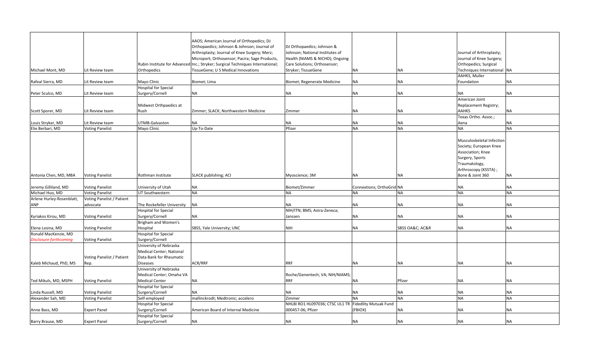|                               |                           |                             | AAOS; American Journal of Orthopedics; DJ                                      |                                 |                              |                |                             |           |
|-------------------------------|---------------------------|-----------------------------|--------------------------------------------------------------------------------|---------------------------------|------------------------------|----------------|-----------------------------|-----------|
|                               |                           |                             | Orthopaedics; Johnson & Johnson; Journal of                                    | DJ Orthopaedics; Johnson &      |                              |                |                             |           |
|                               |                           |                             | Arthroplasty; Journal of Knee Surgery; Merz;                                   | Johnson; National Institutes of |                              |                | Journal of Arthroplasty;    |           |
|                               |                           |                             | Microport; Orthosensor; Pacira; Sage Products,                                 | Health (NIAMS & NICHD); Ongoing |                              |                | Journal of Knee Surgery;    |           |
|                               |                           |                             | Rubin Institute for Advanced Inc.; Stryker; Surgical Techniques International; | Care Solutions; Orthosensor;    |                              |                | Orthopedics; Surgical       |           |
| Michael Mont, MD              | Lit Review team           | <b>Orthopedics</b>          | TissueGene; U S Medical Innovations                                            | Stryker; TissueGene             | <b>NA</b>                    | <b>NA</b>      | Techniques International NA |           |
|                               |                           |                             |                                                                                |                                 |                              |                | AAHKS, Muller               |           |
| Rafeal Sierra, MD             | Lit Review team           | Mayo Clinic                 | Biomet; Lima                                                                   | Biomet; Regenerate Medicine     | NA                           | <b>NA</b>      | Foundation                  | <b>NA</b> |
|                               |                           | Hospital for Special        |                                                                                |                                 |                              |                |                             |           |
| Peter Sculco, MD              | Lit Review team           | Surgery/Cornell             | <b>NA</b>                                                                      | ΝA                              | NA                           | <b>NA</b>      | ΝA                          | <b>NA</b> |
|                               |                           |                             |                                                                                |                                 |                              |                | American Joint              |           |
|                               |                           | Midwest Orthpaedics at      |                                                                                |                                 |                              |                | Replacement Registry;       |           |
| Scott Sporer, MD              | Lit Review team           | Rush                        | Zimmer; SLACK; Northwestern Medicine                                           | Zimmer                          | NA                           | <b>NA</b>      | AAHKS                       | <b>NA</b> |
|                               |                           |                             |                                                                                |                                 |                              |                | Texas Ortho. Assoc.;        |           |
| Louis Stryker, MD             | Lit Review team           | UTMB-Galvaston              | <b>NA</b>                                                                      | NA                              | NA                           | <b>NA</b>      | Aena                        | <b>NA</b> |
| Elie Berbari, MD              | <b>Voting Panelist</b>    | Mayo Clinic                 | Up-To-Date                                                                     | Pfizer                          | <b>NA</b>                    | <b>NA</b>      | <b>NA</b>                   | <b>NA</b> |
|                               |                           |                             |                                                                                |                                 |                              |                |                             |           |
|                               |                           |                             |                                                                                |                                 |                              |                | Musculoskeletal Infection   |           |
|                               |                           |                             |                                                                                |                                 |                              |                | Society; European Knee      |           |
|                               |                           |                             |                                                                                |                                 |                              |                | Association; Knee           |           |
|                               |                           |                             |                                                                                |                                 |                              |                | Surgery, Sports             |           |
|                               |                           |                             |                                                                                |                                 |                              |                | Traumatology,               |           |
|                               |                           |                             |                                                                                |                                 |                              |                | Arthroscopy (KSSTA) ;       |           |
| Antonia Chen, MD, MBA         | <b>Voting Panelist</b>    | Rothman Institute           | SLACK publishing; ACI                                                          | Myoscience; 3M                  | NA                           | <b>NA</b>      | Bone & Joint 360            | <b>NA</b> |
|                               |                           |                             |                                                                                |                                 |                              |                |                             |           |
| Jeremy Gilliland, MD          | <b>Voting Panelist</b>    | University of Utah          | <b>NA</b>                                                                      | Biomet/Zimmer                   | Connextions; OrthoGrid NA    |                | ΝA                          | <b>NA</b> |
| Michael Huo, MD               | <b>Voting Panelist</b>    | UT Southwestern             | <b>NA</b>                                                                      | <b>NA</b>                       | <b>NA</b>                    | <b>NA</b>      | <b>NA</b>                   | <b>NA</b> |
| Arlene Hurley-Rosenblatt,     | Voting Panelist / Patient |                             |                                                                                |                                 |                              |                |                             |           |
| ANP                           | advocate                  | The Rockefeller University  | <b>NA</b>                                                                      | NΑ                              | <b>NA</b>                    | NA             | ΝA                          | <b>NA</b> |
|                               |                           | Hospital for Special        |                                                                                | NIH/ITN; BMS; Astra-Zeneca;     |                              |                |                             |           |
| Kyriakos Kirou, MD            | <b>Voting Panelist</b>    | Surgery/Cornell             | <b>NA</b>                                                                      | lanssen                         | <b>NA</b>                    | <b>NA</b>      | ΝA                          | <b>NA</b> |
|                               |                           | Brigham and Women's         |                                                                                |                                 |                              |                |                             |           |
| Elena Losina, MD              | <b>Voting Panelist</b>    | Hospital                    | SBSS, Yale University; UNC                                                     | NIH                             | NA                           | SBSS OA&C AC&R | NA                          | <b>NA</b> |
| Ronald MacKenzie, MD          |                           | Hospital for Special        |                                                                                |                                 |                              |                |                             |           |
| <b>Disclosure forthcoming</b> | <b>Voting Panelist</b>    | Surgery/Cornell             |                                                                                |                                 |                              |                |                             |           |
|                               |                           | University of Nebraska      |                                                                                |                                 |                              |                |                             |           |
|                               |                           | Medical Center; National    |                                                                                |                                 |                              |                |                             |           |
|                               | Voting Panelist / Patient | Data Bank for Rheumatic     |                                                                                |                                 |                              |                |                             |           |
| Kaleb Michaud, PhD, MS        | Rep.                      | Diseases                    | ACR/RRF                                                                        | RRF                             | <b>NA</b>                    | <b>NA</b>      | ΝA                          | <b>NA</b> |
|                               |                           | University of Nebraska      |                                                                                |                                 |                              |                |                             |           |
|                               |                           | Medical Center; Omaha VA    |                                                                                | Roche/Genentech; VA; NIH/NIAMS; |                              |                |                             |           |
| Ted Mikuls, MD, MSPH          | <b>Voting Panelist</b>    | <b>Medical Center</b>       | <b>NA</b>                                                                      | <b>RRF</b>                      | NA                           | Pfizer         | ΝA                          | <b>NA</b> |
|                               |                           | Hospital for Special        |                                                                                |                                 |                              |                |                             |           |
| Linda Russell, MD             | <b>Voting Panelist</b>    | Surgery/Cornell             | <b>NA</b>                                                                      | NA                              | NA                           | <b>NA</b>      | ΝA                          | <b>NA</b> |
| Alexander Sah, MD             | <b>Voting Panelist</b>    | Self-employed               | mallinckrodt; Medtronic; accelero                                              | Zimmer                          | <b>NA</b>                    | <b>NA</b>      | NA                          | <b>NA</b> |
|                               |                           | <b>Hospital for Special</b> |                                                                                | NHLBI RO1 HL097036; CTSC UL1 TR | <b>Fidedlity Mutuak Fund</b> |                |                             |           |
| Anne Bass, MD                 | <b>Expert Panel</b>       | Surgery/Cornell             | American Board of Internal Medicine                                            | 000457-06; Pfizer               | (FBIOX)                      | NA             | ΝA                          | <b>NA</b> |
|                               |                           | Hospital for Special        |                                                                                |                                 |                              |                |                             |           |
| Barry Brause, MD              | <b>Expert Panel</b>       | Surgery/Cornell             | <b>NA</b>                                                                      | NA                              | NA                           | <b>NA</b>      | NA                          | <b>NA</b> |